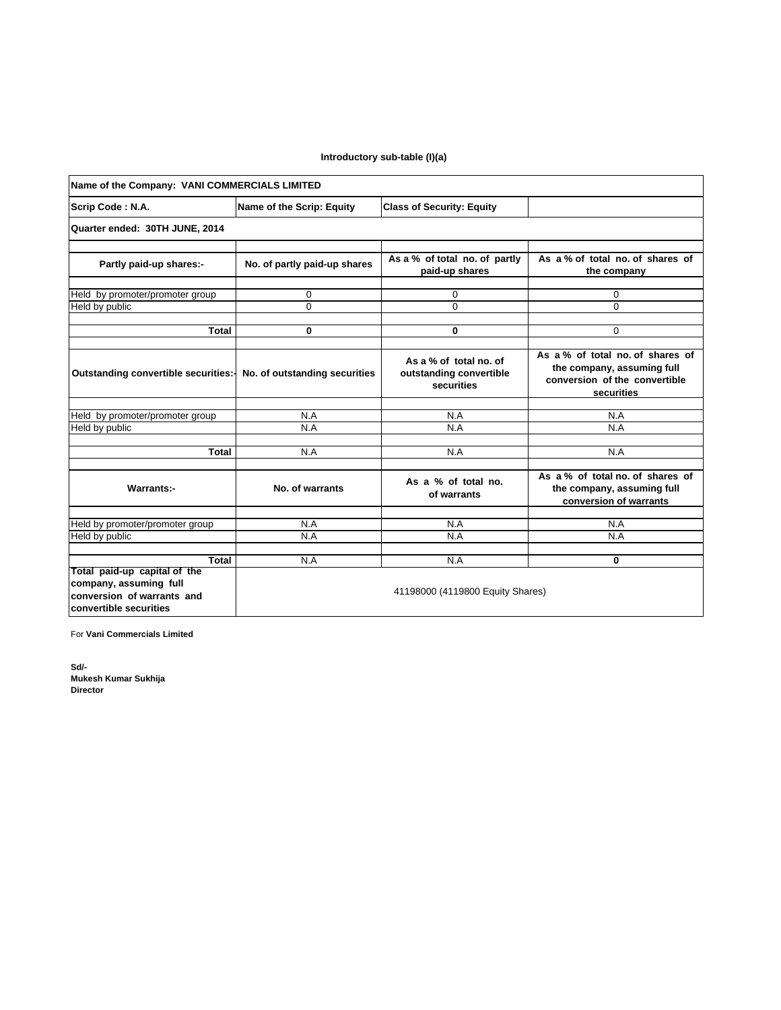## **Introductory sub-table (I)(a)**

| Name of the Company: VANI COMMERCIALS LIMITED                                                                  |                                  |                                                                 |                                                                                                              |  |  |  |
|----------------------------------------------------------------------------------------------------------------|----------------------------------|-----------------------------------------------------------------|--------------------------------------------------------------------------------------------------------------|--|--|--|
| Scrip Code: N.A.                                                                                               | Name of the Scrip: Equity        | <b>Class of Security: Equity</b>                                |                                                                                                              |  |  |  |
| Quarter ended: 30TH JUNE, 2014                                                                                 |                                  |                                                                 |                                                                                                              |  |  |  |
| Partly paid-up shares:-                                                                                        | No. of partly paid-up shares     | As a % of total no. of partly<br>paid-up shares                 | As a % of total no. of shares of<br>the company                                                              |  |  |  |
| Held by promoter/promoter group                                                                                | 0                                | 0                                                               | 0                                                                                                            |  |  |  |
| Held by public                                                                                                 | $\Omega$                         | $\Omega$                                                        | $\Omega$                                                                                                     |  |  |  |
|                                                                                                                |                                  |                                                                 |                                                                                                              |  |  |  |
| <b>Total</b>                                                                                                   | 0                                | $\bf{0}$                                                        | $\Omega$                                                                                                     |  |  |  |
| Outstanding convertible securities:-                                                                           | No. of outstanding securities    | As a % of total no. of<br>outstanding convertible<br>securities | As a % of total no of shares of<br>the company, assuming full<br>conversion of the convertible<br>securities |  |  |  |
|                                                                                                                | N.A                              | N.A                                                             | N.A                                                                                                          |  |  |  |
| Held by promoter/promoter group<br>Held by public                                                              | N.A                              | N.A                                                             | N.A                                                                                                          |  |  |  |
|                                                                                                                |                                  |                                                                 |                                                                                                              |  |  |  |
| Total                                                                                                          | N.A                              | N.A                                                             | N.A                                                                                                          |  |  |  |
| Warrants:-                                                                                                     | No. of warrants                  | As a % of total no.<br>of warrants                              | As a % of total no. of shares of<br>the company, assuming full<br>conversion of warrants                     |  |  |  |
|                                                                                                                |                                  |                                                                 |                                                                                                              |  |  |  |
| Held by promoter/promoter group                                                                                | N.A<br>N.A                       | N.A<br>N.A                                                      | N.A<br>N.A                                                                                                   |  |  |  |
| Held by public                                                                                                 |                                  |                                                                 |                                                                                                              |  |  |  |
| Total                                                                                                          | N.A                              | N.A                                                             | 0                                                                                                            |  |  |  |
| Total paid-up capital of the<br>company, assuming full<br>conversion of warrants and<br>convertible securities | 41198000 (4119800 Equity Shares) |                                                                 |                                                                                                              |  |  |  |

For **Vani Commercials Limited**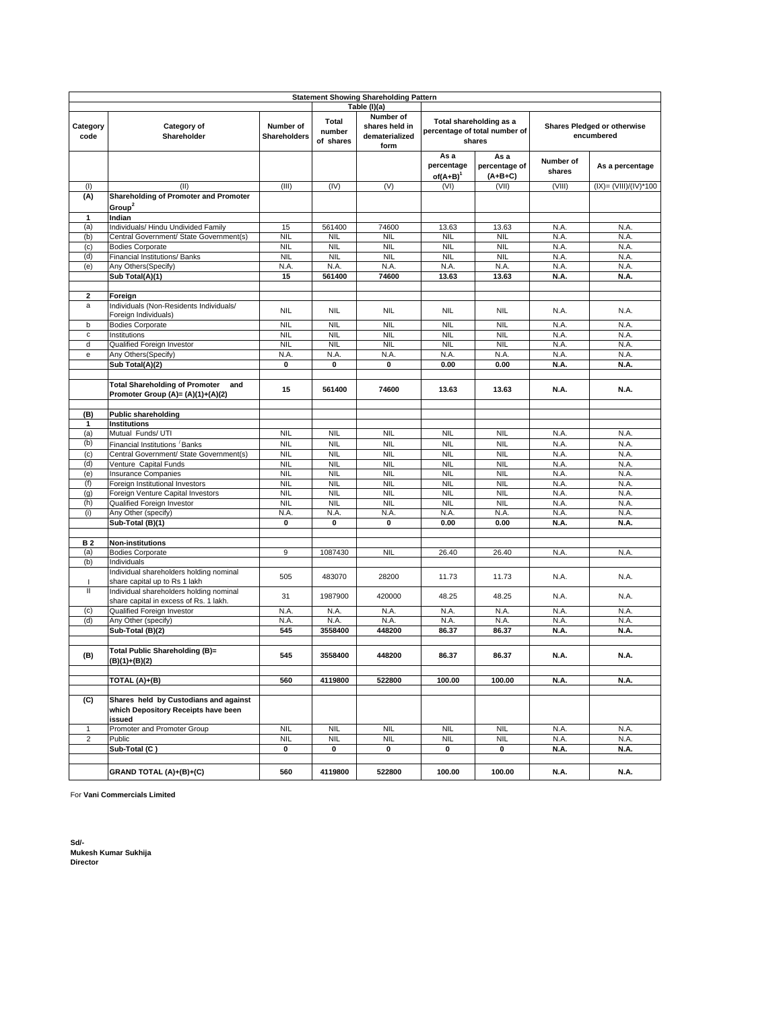|                         | <b>Statement Showing Shareholding Pattern</b>                                          |                           |                              |                                                       |                                     |                                                                                                                        |                     |                       |
|-------------------------|----------------------------------------------------------------------------------------|---------------------------|------------------------------|-------------------------------------------------------|-------------------------------------|------------------------------------------------------------------------------------------------------------------------|---------------------|-----------------------|
|                         |                                                                                        |                           |                              | Table (I)(a)                                          |                                     |                                                                                                                        |                     |                       |
| Category<br>code        | Category of<br>Shareholder                                                             | Number of<br>Shareholders | Total<br>number<br>of shares | Number of<br>shares held in<br>dematerialized<br>form |                                     | Total shareholding as a<br><b>Shares Pledged or otherwise</b><br>percentage of total number of<br>encumbered<br>shares |                     |                       |
|                         |                                                                                        |                           |                              |                                                       | As a<br>percentage<br>$of(A+B)^{1}$ | As a<br>percentage of<br>$(A+B+C)$                                                                                     | Number of<br>shares | As a percentage       |
| (1)                     | (II)                                                                                   | (III)                     | (IV)                         | (V)                                                   | (VI)                                | (VII)                                                                                                                  | (VIII)              | (IX)= (VIII)/(IV)*100 |
| (A)                     | Shareholding of Promoter and Promoter<br>Group <sup>2</sup>                            |                           |                              |                                                       |                                     |                                                                                                                        |                     |                       |
| 1                       | Indian                                                                                 |                           |                              |                                                       |                                     |                                                                                                                        |                     |                       |
| (a)                     | Individuals/ Hindu Undivided Family                                                    | 15                        | 561400                       | 74600                                                 | 13.63                               | 13.63                                                                                                                  | N.A.                | N.A.                  |
| (b)                     | Central Government/ State Government(s)                                                | <b>NIL</b>                | <b>NIL</b>                   | <b>NIL</b>                                            | <b>NIL</b>                          | <b>NIL</b>                                                                                                             | N.A.                | N.A.                  |
| (c)                     | <b>Bodies Corporate</b>                                                                | <b>NIL</b>                | <b>NIL</b>                   | <b>NIL</b>                                            | <b>NIL</b>                          | <b>NIL</b>                                                                                                             | N.A.                | N.A.                  |
| (d)                     | Financial Institutions/ Banks                                                          | <b>NIL</b><br>N.A.        | <b>NIL</b><br>N.A.           | <b>NIL</b><br>N.A.                                    | <b>NIL</b>                          | <b>NIL</b>                                                                                                             | N.A.                | N.A.                  |
| (e)                     | Any Others(Specify)<br>Sub Total(A)(1)                                                 | 15                        | 561400                       | 74600                                                 | N.A.<br>13.63                       | N.A.<br>13.63                                                                                                          | N.A.<br>N.A.        | N.A.<br>N.A.          |
|                         |                                                                                        |                           |                              |                                                       |                                     |                                                                                                                        |                     |                       |
| $\overline{\mathbf{2}}$ | Foreign                                                                                |                           |                              |                                                       |                                     |                                                                                                                        |                     |                       |
| a                       | Individuals (Non-Residents Individuals/<br>Foreign Individuals)                        | <b>NIL</b>                | <b>NIL</b>                   | <b>NIL</b>                                            | <b>NIL</b>                          | <b>NIL</b>                                                                                                             | N.A.                | N.A.                  |
| b                       | <b>Bodies Corporate</b>                                                                | <b>NIL</b>                | <b>NIL</b>                   | <b>NIL</b>                                            | <b>NIL</b>                          | <b>NIL</b>                                                                                                             | N.A.                | N.A.                  |
| $\mathbf c$             | Institutions                                                                           | <b>NIL</b>                | <b>NIL</b>                   | <b>NIL</b>                                            | <b>NIL</b>                          | <b>NIL</b>                                                                                                             | N.A.                | N.A.                  |
| d                       | <b>Qualified Foreign Investor</b>                                                      | <b>NIL</b>                | <b>NIL</b>                   | <b>NIL</b>                                            | <b>NIL</b>                          | <b>NIL</b>                                                                                                             | N.A.                | N.A.                  |
| e                       | Any Others(Specify)                                                                    | N.A.                      | N.A.                         | N.A.                                                  | N.A.                                | N.A.                                                                                                                   | N.A.                | N.A.                  |
|                         | Sub Total(A)(2)                                                                        | 0                         | 0                            | 0                                                     | 0.00                                | 0.00                                                                                                                   | N.A.                | N.A.                  |
|                         | <b>Total Shareholding of Promoter</b><br>and<br>Promoter Group (A)= (A)(1)+(A)(2)      | 15                        | 561400                       | 74600                                                 | 13.63                               | 13.63                                                                                                                  | N.A.                | N.A.                  |
| (B)                     | <b>Public shareholding</b>                                                             |                           |                              |                                                       |                                     |                                                                                                                        |                     |                       |
| 1                       | <b>Institutions</b>                                                                    |                           |                              |                                                       |                                     |                                                                                                                        |                     |                       |
| (a)                     | Mutual Funds/ UTI                                                                      | <b>NIL</b>                | <b>NIL</b>                   | <b>NIL</b>                                            | <b>NIL</b>                          | <b>NIL</b>                                                                                                             | N.A.                | N.A.                  |
| (b)                     | Financial Institutions Banks                                                           | <b>NIL</b>                | <b>NIL</b>                   | <b>NIL</b>                                            | <b>NIL</b>                          | <b>NIL</b>                                                                                                             | N.A.                | N.A.                  |
| (c)                     | Central Government/ State Government(s)                                                | <b>NIL</b>                | <b>NIL</b>                   | <b>NIL</b>                                            | <b>NIL</b>                          | <b>NIL</b>                                                                                                             | N.A.                | N.A.                  |
| (d)                     | Venture Capital Funds                                                                  | <b>NIL</b>                | <b>NIL</b>                   | <b>NIL</b>                                            | <b>NIL</b>                          | <b>NIL</b>                                                                                                             | N.A.                | N.A.                  |
| (e)                     | <b>Insurance Companies</b>                                                             | <b>NIL</b>                | <b>NIL</b>                   | <b>NIL</b>                                            | <b>NIL</b>                          | <b>NIL</b>                                                                                                             | N.A.                | N.A.                  |
| (f)                     | Foreign Institutional Investors                                                        | <b>NIL</b>                | <b>NIL</b>                   | <b>NIL</b>                                            | <b>NIL</b>                          | <b>NIL</b>                                                                                                             | N.A.                | N.A.                  |
| (g)                     | Foreign Venture Capital Investors                                                      | <b>NIL</b>                | <b>NIL</b>                   | <b>NIL</b>                                            | <b>NIL</b>                          | <b>NIL</b>                                                                                                             | N.A.                | N.A.                  |
| (h)                     | Qualified Foreign Investor                                                             | <b>NIL</b>                | <b>NIL</b>                   | <b>NIL</b>                                            | <b>NIL</b>                          | <b>NIL</b>                                                                                                             | N.A.                | N.A.                  |
| (i)                     | Any Other (specify)                                                                    | N.A.                      | N.A.                         | N.A.                                                  | N.A.                                | N.A.                                                                                                                   | N.A.                | N.A.                  |
|                         | Sub-Total (B)(1)                                                                       | $\pmb{0}$                 | 0                            | 0                                                     | 0.00                                | 0.00                                                                                                                   | N.A.                | N.A.                  |
| B 2                     | <b>Non-institutions</b>                                                                |                           |                              |                                                       |                                     |                                                                                                                        |                     |                       |
| (a)                     | <b>Bodies Corporate</b>                                                                | 9                         | 1087430                      | <b>NIL</b>                                            | 26.40                               | 26.40                                                                                                                  | N.A.                | N.A.                  |
| (b)                     | Individuals                                                                            |                           |                              |                                                       |                                     |                                                                                                                        |                     |                       |
| J.                      | Individual shareholders holding nominal<br>share capital up to Rs 1 lakh               | 505                       | 483070                       | 28200                                                 | 11.73                               | 11.73                                                                                                                  | N.A.                | N.A.                  |
| $\mathbf{II}$           | Individual shareholders holding nominal<br>share capital in excess of Rs. 1 lakh.      | 31                        | 1987900                      | 420000                                                | 48.25                               | 48.25                                                                                                                  | N.A.                | N.A.                  |
| (c)                     | Qualified Foreign Investor                                                             | N.A.                      | N.A.                         | N.A.                                                  | N.A.                                | N.A.                                                                                                                   | N.A.                | N.A.                  |
| (d)                     | Any Other (specify)                                                                    | N.A.                      | N.A                          | N.A.                                                  | N.A.                                | N.A.                                                                                                                   | N.A.                | N.A.                  |
|                         | Sub-Total (B)(2)                                                                       | 545                       | 3558400                      | 448200                                                | 86.37                               | 86.37                                                                                                                  | N.A.                | N.A.                  |
| (B)                     | Total Public Shareholding (B)=<br>$(B)(1)+(B)(2)$                                      | 545                       | 3558400                      | 448200                                                | 86.37                               | 86.37                                                                                                                  | N.A.                | N.A.                  |
|                         | TOTAL (A)+(B)                                                                          | 560                       | 4119800                      | 522800                                                | 100.00                              | 100.00                                                                                                                 | N.A.                | N.A.                  |
| (C)                     | Shares held by Custodians and against<br>which Depository Receipts have been<br>issued |                           |                              |                                                       |                                     |                                                                                                                        |                     |                       |
| 1                       | Promoter and Promoter Group                                                            | <b>NIL</b>                | <b>NIL</b>                   | <b>NIL</b>                                            | <b>NIL</b>                          | <b>NIL</b>                                                                                                             | N.A.                | N.A.                  |
| $\overline{\mathbf{c}}$ | Public<br>Sub-Total (C)                                                                | <b>NIL</b><br>0           | <b>NIL</b><br>0              | <b>NIL</b><br>0                                       | <b>NIL</b><br>0                     | <b>NIL</b><br>0                                                                                                        | N.A.<br>N.A.        | N.A.<br>N.A.          |
|                         |                                                                                        |                           |                              |                                                       |                                     |                                                                                                                        |                     |                       |
|                         | GRAND TOTAL (A)+(B)+(C)                                                                | 560                       | 4119800                      | 522800                                                | 100.00                              | 100.00                                                                                                                 | N.A.                | N.A.                  |

For **Vani Commercials Limited**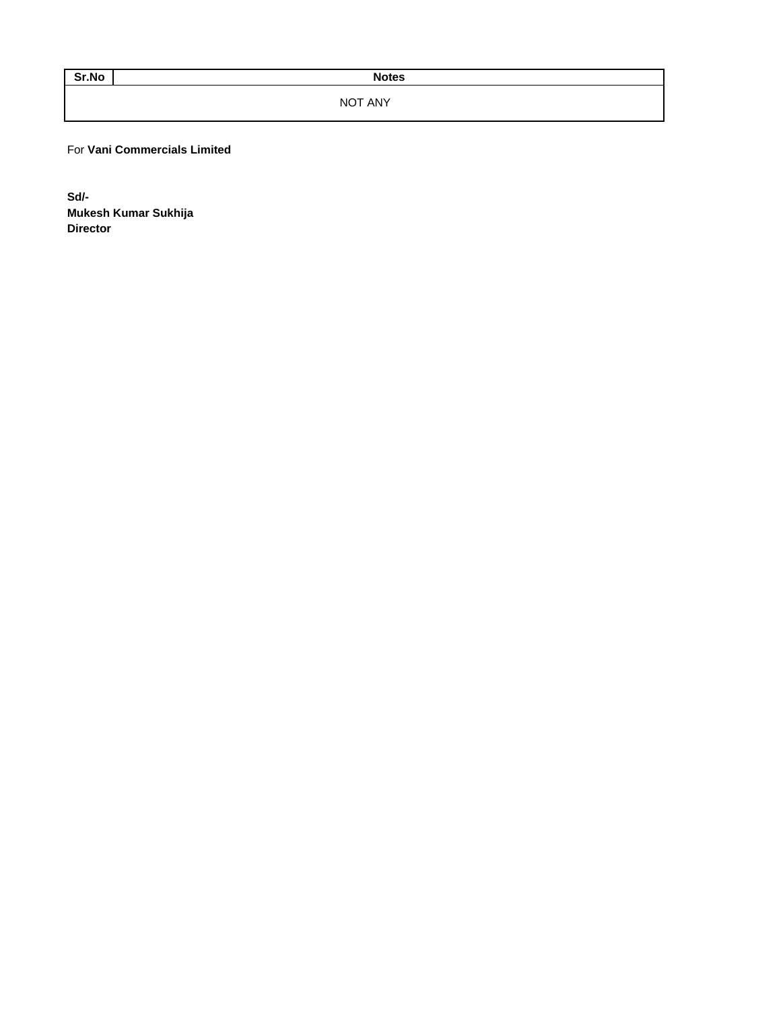Sr.No Notes

NOT ANY

For **Vani Commercials Limited**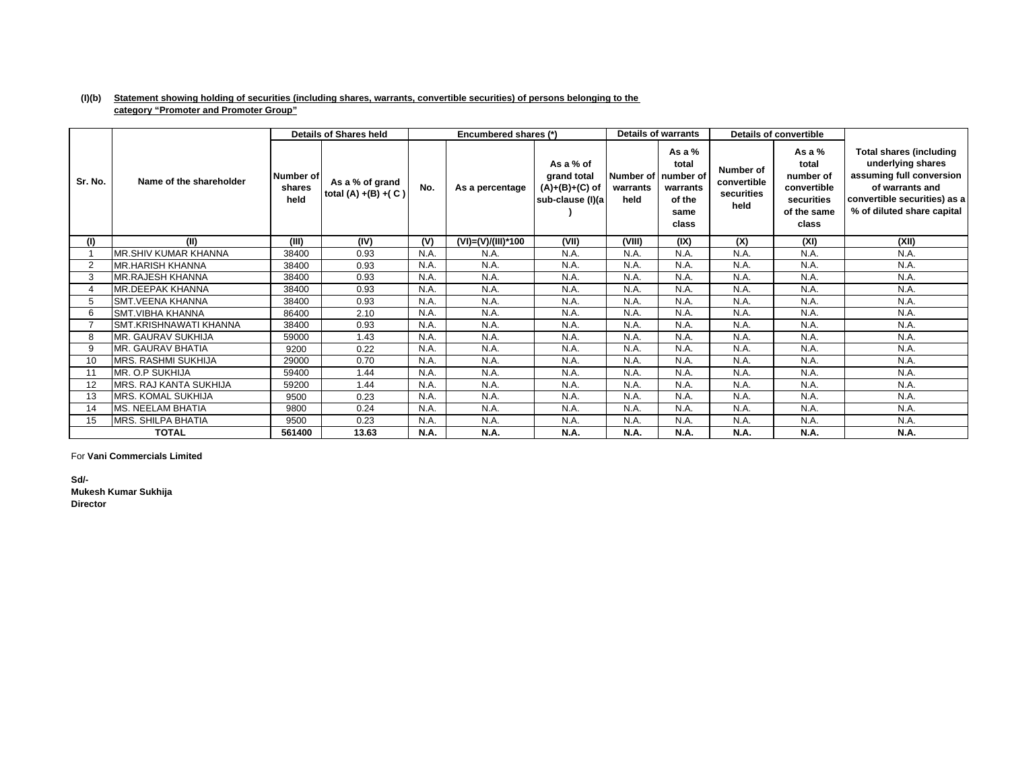## **(I)(b) Statement showing holding of securities (including shares, warrants, convertible securities) of persons belonging to the category "Promoter and Promoter Group"**

|         |                          |                             | <b>Details of Shares held</b>              |      | Encumbered shares (*) |                                                                  |                  | <b>Details of warrants</b>                                                        |                                                | <b>Details of convertible</b>                                                       |                                                                                                                                                           |
|---------|--------------------------|-----------------------------|--------------------------------------------|------|-----------------------|------------------------------------------------------------------|------------------|-----------------------------------------------------------------------------------|------------------------------------------------|-------------------------------------------------------------------------------------|-----------------------------------------------------------------------------------------------------------------------------------------------------------|
| Sr. No. | Name of the shareholder  | Number of<br>shares<br>held | As a % of grand<br>total $(A) + (B) + (C)$ | No.  | As a percentage       | As a % of<br>grand total<br>$(A)+(B)+(C)$ of<br>sub-clause (I)(a | warrants<br>held | As a $%$<br>total<br>Number of   number of<br>warrants<br>of the<br>same<br>class | Number of<br>convertible<br>securities<br>held | As a $%$<br>total<br>number of<br>convertible<br>securities<br>of the same<br>class | Total shares (including<br>underlying shares<br>assuming full conversion<br>of warrants and<br>convertible securities) as a<br>% of diluted share capital |
| (1)     | (II)                     | (III)                       | (IV)                                       | (V)  | (VI)=(V)/(III)*100    | (VII)                                                            | (VIII)           | (IX)                                                                              | (X)                                            | (XI)                                                                                | (XII)                                                                                                                                                     |
|         | MR.SHIV KUMAR KHANNA     | 38400                       | 0.93                                       | N.A. | N.A.                  | N.A.                                                             | N.A.             | N.A.                                                                              | N.A.                                           | N.A.                                                                                | N.A.                                                                                                                                                      |
| 2       | MR.HARISH KHANNA         | 38400                       | 0.93                                       | N.A. | N.A.                  | N.A.                                                             | N.A.             | N.A.                                                                              | N.A.                                           | N.A.                                                                                | N.A.                                                                                                                                                      |
| 3       | MR.RAJESH KHANNA         | 38400                       | 0.93                                       | N.A. | N.A.                  | N.A.                                                             | N.A.             | N.A.                                                                              | N.A.                                           | N.A.                                                                                | N.A.                                                                                                                                                      |
|         | MR.DEEPAK KHANNA         | 38400                       | 0.93                                       | N.A. | N.A.                  | N.A.                                                             | N.A              | N.A.                                                                              | N.A.                                           | N.A.                                                                                | N.A.                                                                                                                                                      |
| 5       | <b>SMT.VEENA KHANNA</b>  | 38400                       | 0.93                                       | N.A. | N.A.                  | N.A.                                                             | N.A.             | N.A.                                                                              | N.A.                                           | N.A.                                                                                | N.A.                                                                                                                                                      |
| 6       | <b>SMT.VIBHA KHANNA</b>  | 86400                       | 2.10                                       | N.A. | N.A.                  | N.A.                                                             | N.A.             | N.A.                                                                              | N.A.                                           | N.A.                                                                                | N.A.                                                                                                                                                      |
|         | SMT.KRISHNAWATI KHANNA   | 38400                       | 0.93                                       | N.A. | N.A.                  | N.A.                                                             | N.A.             | N.A.                                                                              | N.A.                                           | N.A.                                                                                | N.A.                                                                                                                                                      |
| 8       | MR. GAURAV SUKHIJA       | 59000                       | 1.43                                       | N.A. | N.A.                  | N.A.                                                             | N.A.             | N.A.                                                                              | N.A.                                           | N.A.                                                                                | N.A.                                                                                                                                                      |
| 9       | MR. GAURAV BHATIA        | 9200                        | 0.22                                       | N.A. | N.A.                  | N.A.                                                             | N.A              | N.A.                                                                              | N.A.                                           | N.A.                                                                                | N.A.                                                                                                                                                      |
| 10      | MRS. RASHMI SUKHIJA      | 29000                       | 0.70                                       | N.A. | N.A.                  | N.A.                                                             | N.A.             | N.A.                                                                              | N.A.                                           | N.A.                                                                                | N.A.                                                                                                                                                      |
|         | MR. O.P SUKHIJA          | 59400                       | 1.44                                       | N.A. | N.A.                  | N.A                                                              | N.A.             | N.A.                                                                              | N.A.                                           | N.A.                                                                                | N.A.                                                                                                                                                      |
| 12      | MRS. RAJ KANTA SUKHIJA   | 59200                       | 1.44                                       | N.A. | N.A.                  | N.A.                                                             | N.A.             | N.A.                                                                              | N.A.                                           | N.A.                                                                                | N.A.                                                                                                                                                      |
| 13      | MRS. KOMAL SUKHIJA       | 9500                        | 0.23                                       | N.A. | N.A.                  | N.A.                                                             | N.A.             | N.A.                                                                              | N.A.                                           | N.A.                                                                                | N.A.                                                                                                                                                      |
| 14      | <b>MS. NEELAM BHATIA</b> | 9800                        | 0.24                                       | N.A. | N.A.                  | N.A.                                                             | N.A.             | N.A.                                                                              | N.A.                                           | N.A.                                                                                | N.A.                                                                                                                                                      |
| 15      | MRS. SHILPA BHATIA       | 9500                        | 0.23                                       | N.A. | N.A.                  | N.A.                                                             | N.A.             | N.A.                                                                              | N.A.                                           | N.A.                                                                                | N.A.                                                                                                                                                      |
|         | <b>TOTAL</b>             | 561400                      | 13.63                                      | N.A. | N.A.                  | <b>N.A.</b>                                                      | <b>N.A.</b>      | <b>N.A.</b>                                                                       | N.A.                                           | <b>N.A.</b>                                                                         | N.A.                                                                                                                                                      |

For **Vani Commercials Limited**

**Sd/-Mukesh Kumar Sukhija**

**Director**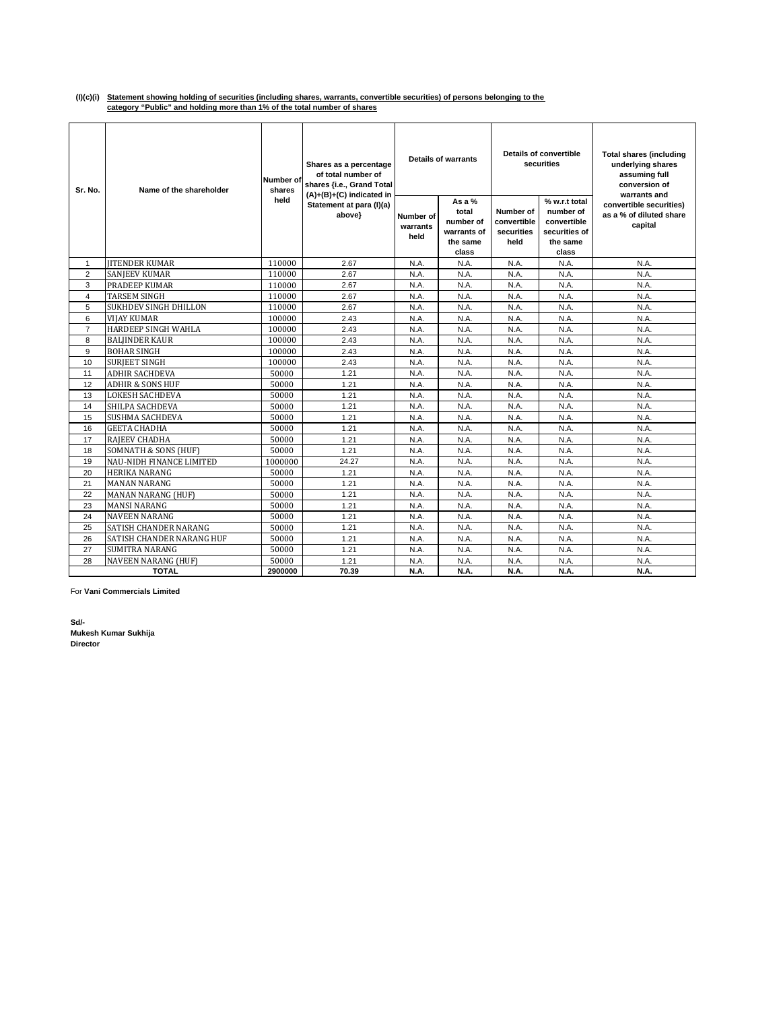## **(I)(c)(i) Statement showing holding of securities (including shares, warrants, convertible securities) of persons belonging to the category "Public" and holding more than 1% of the total number of shares**

| Sr. No.        | Name of the shareholder         | Number of<br>shares | Shares as a percentage<br>of total number of<br>shares {i.e., Grand Total<br>$(A)+(B)+(C)$ indicated in |                               | <b>Details of warrants</b>                                         |                                                | Details of convertible<br>securities                                            | <b>Total shares (including</b><br>underlying shares<br>assuming full<br>conversion of<br>warrants and |
|----------------|---------------------------------|---------------------|---------------------------------------------------------------------------------------------------------|-------------------------------|--------------------------------------------------------------------|------------------------------------------------|---------------------------------------------------------------------------------|-------------------------------------------------------------------------------------------------------|
|                |                                 | held                | Statement at para (I)(a)<br>above}                                                                      | Number of<br>warrants<br>held | As a $%$<br>total<br>number of<br>warrants of<br>the same<br>class | Number of<br>convertible<br>securities<br>held | % w.r.t total<br>number of<br>convertible<br>securities of<br>the same<br>class | convertible securities)<br>as a % of diluted share<br>capital                                         |
| $\mathbf{1}$   | <b>JITENDER KUMAR</b>           | 110000              | 2.67                                                                                                    | N.A.                          | N.A.                                                               | N.A.                                           | N.A.                                                                            | N.A.                                                                                                  |
| $\overline{2}$ | <b>SANIEEV KUMAR</b>            | 110000              | 2.67                                                                                                    | N.A.                          | N.A.                                                               | N.A.                                           | N.A.                                                                            | N.A.                                                                                                  |
| 3              | PRADEEP KUMAR                   | 110000              | 2.67                                                                                                    | N.A.                          | N.A.                                                               | N.A.                                           | N.A.                                                                            | N.A.                                                                                                  |
| $\overline{4}$ | <b>TARSEM SINGH</b>             | 110000              | 2.67                                                                                                    | N.A.                          | N.A.                                                               | N.A.                                           | N.A.                                                                            | N.A.                                                                                                  |
| 5              | <b>SUKHDEV SINGH DHILLON</b>    | 110000              | 2.67                                                                                                    | N.A.                          | N.A.                                                               | N.A.                                           | N.A.                                                                            | N.A.                                                                                                  |
| 6              | VIJAY KUMAR                     | 100000              | 2.43                                                                                                    | N.A.                          | N.A.                                                               | N.A.                                           | N.A.                                                                            | N.A.                                                                                                  |
| $\overline{7}$ | HARDEEP SINGH WAHLA             | 100000              | 2.43                                                                                                    | N.A.                          | N.A.                                                               | N.A.                                           | N.A.                                                                            | N.A.                                                                                                  |
| 8              | <b>BALJINDER KAUR</b>           | 100000              | 2.43                                                                                                    | N.A.                          | N.A.                                                               | N.A.                                           | N.A.                                                                            | N.A.                                                                                                  |
| 9              | <b>BOHAR SINGH</b>              | 100000              | 2.43                                                                                                    | N.A.                          | N.A.                                                               | N.A.                                           | N.A.                                                                            | N.A.                                                                                                  |
| 10             | <b>SURJEET SINGH</b>            | 100000              | 2.43                                                                                                    | N.A.                          | N.A.                                                               | N.A.                                           | N.A.                                                                            | N.A.                                                                                                  |
| 11             | ADHIR SACHDEVA                  | 50000               | 1.21                                                                                                    | N.A.                          | N.A.                                                               | N.A.                                           | N.A.                                                                            | N.A.                                                                                                  |
| 12             | <b>ADHIR &amp; SONS HUF</b>     | 50000               | 1.21                                                                                                    | N.A.                          | N.A.                                                               | N.A.                                           | N.A.                                                                            | N.A.                                                                                                  |
| 13             | <b>LOKESH SACHDEVA</b>          | 50000               | 1.21                                                                                                    | N.A.                          | N.A.                                                               | N.A.                                           | N.A.                                                                            | N.A.                                                                                                  |
| 14             | SHILPA SACHDEVA                 | 50000               | 1.21                                                                                                    | N.A.                          | N.A.                                                               | N.A.                                           | N.A.                                                                            | N.A.                                                                                                  |
| 15             | <b>SUSHMA SACHDEVA</b>          | 50000               | 1.21                                                                                                    | N.A.                          | N.A.                                                               | N.A.                                           | N.A.                                                                            | N.A.                                                                                                  |
| 16             | <b>GEETA CHADHA</b>             | 50000               | 1.21                                                                                                    | N.A.                          | N.A.                                                               | N.A.                                           | N.A.                                                                            | N.A.                                                                                                  |
| 17             | RAJEEV CHADHA                   | 50000               | 1.21                                                                                                    | N.A.                          | N.A.                                                               | N.A.                                           | N.A.                                                                            | N.A.                                                                                                  |
| 18             | <b>SOMNATH &amp; SONS (HUF)</b> | 50000               | 1.21                                                                                                    | N.A.                          | N.A.                                                               | N.A.                                           | N.A.                                                                            | N.A.                                                                                                  |
| 19             | NAU-NIDH FINANCE LIMITED        | 1000000             | 24.27                                                                                                   | N.A.                          | N.A.                                                               | N.A.                                           | N.A.                                                                            | N.A.                                                                                                  |
| 20             | HERIKA NARANG                   | 50000               | 1.21                                                                                                    | N.A.                          | N.A.                                                               | N.A.                                           | N.A.                                                                            | N.A.                                                                                                  |
| 21             | <b>MANAN NARANG</b>             | 50000               | 1.21                                                                                                    | N.A.                          | N.A.                                                               | N.A.                                           | N.A.                                                                            | N.A.                                                                                                  |
| 22             | <b>MANAN NARANG (HUF)</b>       | 50000               | 1.21                                                                                                    | N.A.                          | N.A.                                                               | N.A.                                           | N.A.                                                                            | N.A.                                                                                                  |
| 23             | <b>MANSI NARANG</b>             | 50000               | 1.21                                                                                                    | N.A.                          | N.A.                                                               | N.A.                                           | N.A.                                                                            | N.A.                                                                                                  |
| 24             | <b>NAVEEN NARANG</b>            | 50000               | 1.21                                                                                                    | N.A.                          | N.A.                                                               | N.A.                                           | N.A.                                                                            | N.A.                                                                                                  |
| 25             | SATISH CHANDER NARANG           | 50000               | 1.21                                                                                                    | N.A.                          | N.A.                                                               | N.A.                                           | N.A.                                                                            | N.A.                                                                                                  |
| 26             | SATISH CHANDER NARANG HUF       | 50000               | 1.21                                                                                                    | N.A.                          | N.A.                                                               | N.A.                                           | N.A.                                                                            | N.A.                                                                                                  |
| 27             | SUMITRA NARANG                  | 50000               | 1.21                                                                                                    | N.A.                          | N.A.                                                               | N.A.                                           | N.A.                                                                            | N.A.                                                                                                  |
| 28             | NAVEEN NARANG (HUF)             | 50000               | 1.21                                                                                                    | N.A.                          | N.A.                                                               | N.A.                                           | N.A.                                                                            | N.A.                                                                                                  |
|                | <b>TOTAL</b>                    | 2900000             | 70.39                                                                                                   | N.A.                          | N.A.                                                               | N.A.                                           | N.A.                                                                            | N.A.                                                                                                  |

For **Vani Commercials Limited**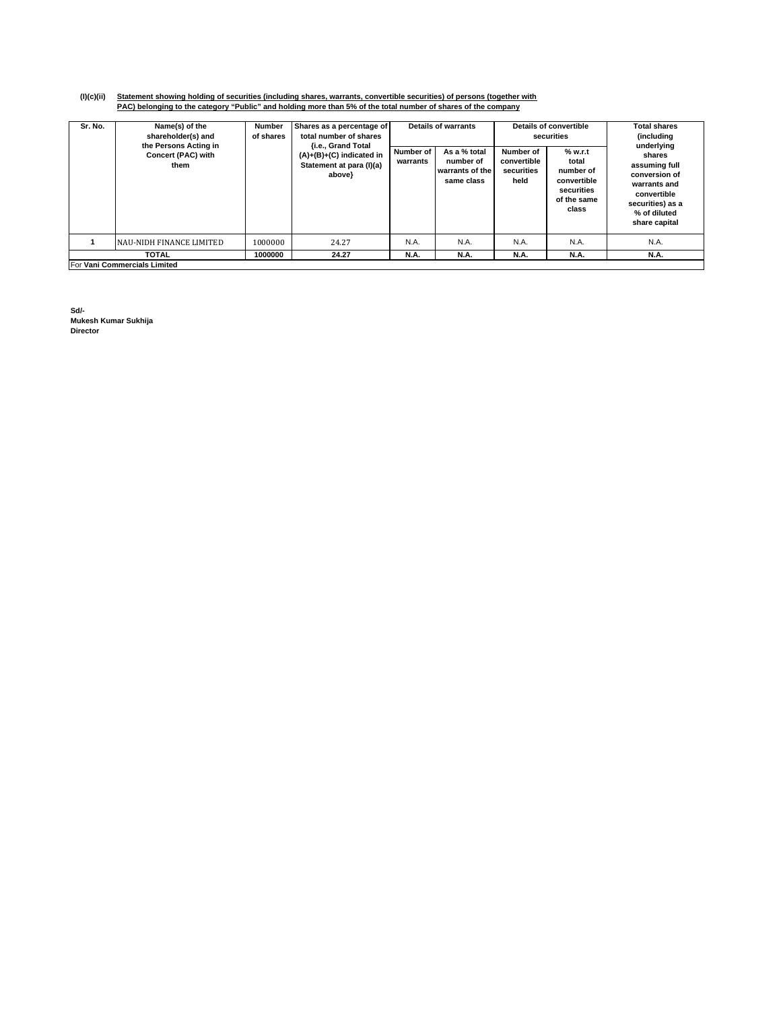# (I)(c)(ii) Statement showing holding of securities (including shares, warrants, convertible securities) of persons (together with<br>PAC) belonging to the category "Public" and holding more than 5% of the total number of shar

| Sr. No. | Name(s) of the<br>shareholder(s) and<br>the Persons Acting in<br>Concert (PAC) with<br>them | Number<br>of shares | Shares as a percentage of<br>total number of shares<br><b>fi.e., Grand Total</b><br>$(A)+(B)+(C)$ indicated in<br>Statement at para (I)(a)<br>above}<br>24.27 | Number of<br>warrants | Details of warrants<br>As a % total<br>number of<br>warrants of the<br>same class | Number of<br>convertible<br>securities<br>held | Details of convertible<br>securities<br>% w.r.t<br>total<br>number of<br>convertible<br>securities<br>of the same<br>class | <b>Total shares</b><br>(including)<br>underlying<br>shares<br>assuming full<br>conversion of<br>warrants and<br>convertible<br>securities) as a<br>% of diluted<br>share capital |
|---------|---------------------------------------------------------------------------------------------|---------------------|---------------------------------------------------------------------------------------------------------------------------------------------------------------|-----------------------|-----------------------------------------------------------------------------------|------------------------------------------------|----------------------------------------------------------------------------------------------------------------------------|----------------------------------------------------------------------------------------------------------------------------------------------------------------------------------|
|         | NAU-NIDH FINANCE LIMITED                                                                    | 1000000             |                                                                                                                                                               | N.A.                  | N.A.                                                                              | N.A.                                           | N.A.                                                                                                                       | N.A.                                                                                                                                                                             |
|         | <b>TOTAL</b>                                                                                | 1000000             | 24.27                                                                                                                                                         | <b>N.A.</b>           | <b>N.A.</b>                                                                       | <b>N.A.</b>                                    | <b>N.A.</b>                                                                                                                | <b>N.A.</b>                                                                                                                                                                      |
|         | For Vani Commercials Limited                                                                |                     |                                                                                                                                                               |                       |                                                                                   |                                                |                                                                                                                            |                                                                                                                                                                                  |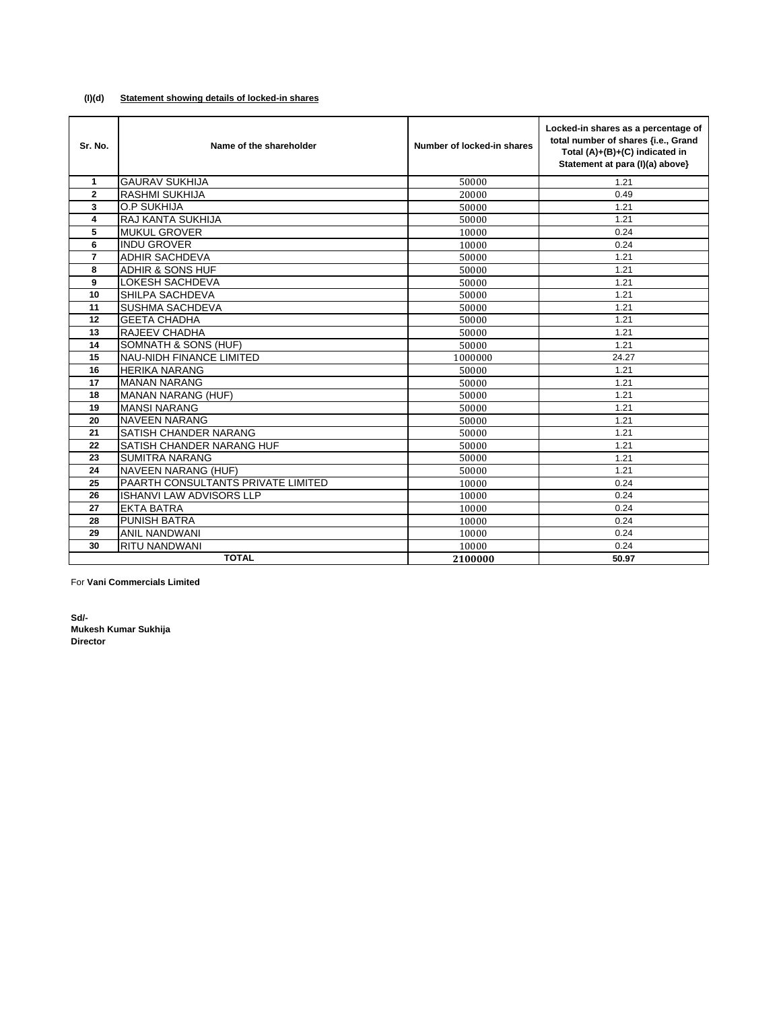## **(I)(d) Statement showing details of locked-in shares**

| Sr. No.        | Name of the shareholder            | Number of locked-in shares | Locked-in shares as a percentage of<br>total number of shares {i.e., Grand<br>Total (A)+(B)+(C) indicated in<br>Statement at para (I)(a) above} |
|----------------|------------------------------------|----------------------------|-------------------------------------------------------------------------------------------------------------------------------------------------|
| $\mathbf{1}$   | <b>GAURAV SUKHIJA</b>              | 50000                      | 1.21                                                                                                                                            |
| $\overline{2}$ | <b>RASHMI SUKHIJA</b>              | 20000                      | 0.49                                                                                                                                            |
| 3              | <b>O.P SUKHIJA</b>                 | 50000                      | 1.21                                                                                                                                            |
| 4              | RAJ KANTA SUKHIJA                  | 50000                      | 1.21                                                                                                                                            |
| 5              | <b>MUKUL GROVER</b>                | 10000                      | 0.24                                                                                                                                            |
| 6              | <b>INDU GROVER</b>                 | 10000                      | 0.24                                                                                                                                            |
| $\overline{7}$ | <b>ADHIR SACHDEVA</b>              | 50000                      | 1.21                                                                                                                                            |
| 8              | <b>ADHIR &amp; SONS HUF</b>        | 50000                      | 1.21                                                                                                                                            |
| 9              | <b>LOKESH SACHDEVA</b>             | 50000                      | 1.21                                                                                                                                            |
| 10             | SHILPA SACHDEVA                    | 50000                      | 1.21                                                                                                                                            |
| 11             | <b>SUSHMA SACHDEVA</b>             | 50000                      | 1.21                                                                                                                                            |
| 12             | <b>GEETA CHADHA</b>                | 50000                      | 1.21                                                                                                                                            |
| 13             | <b>RAJEEV CHADHA</b>               | 50000                      | 1.21                                                                                                                                            |
| 14             | SOMNATH & SONS (HUF)               | 50000                      | 1.21                                                                                                                                            |
| 15             | <b>NAU-NIDH FINANCE LIMITED</b>    | 1000000                    | 24.27                                                                                                                                           |
| 16             | <b>HERIKA NARANG</b>               | 50000                      | 1.21                                                                                                                                            |
| 17             | <b>MANAN NARANG</b>                | 50000                      | 1.21                                                                                                                                            |
| 18             | <b>MANAN NARANG (HUF)</b>          | 50000                      | 1.21                                                                                                                                            |
| 19             | <b>MANSI NARANG</b>                | 50000                      | 1.21                                                                                                                                            |
| 20             | <b>NAVEEN NARANG</b>               | 50000                      | 1.21                                                                                                                                            |
| 21             | <b>SATISH CHANDER NARANG</b>       | 50000                      | 1.21                                                                                                                                            |
| 22             | <b>SATISH CHANDER NARANG HUF</b>   | 50000                      | 1.21                                                                                                                                            |
| 23             | <b>SUMITRA NARANG</b>              | 50000                      | 1.21                                                                                                                                            |
| 24             | <b>NAVEEN NARANG (HUF)</b>         | 50000                      | 1.21                                                                                                                                            |
| 25             | PAARTH CONSULTANTS PRIVATE LIMITED | 10000                      | 0.24                                                                                                                                            |
| 26             | <b>ISHANVI LAW ADVISORS LLP</b>    | 10000                      | 0.24                                                                                                                                            |
| 27             | <b>EKTA BATRA</b>                  | 10000                      | 0.24                                                                                                                                            |
| 28             | <b>PUNISH BATRA</b>                | 10000                      | 0.24                                                                                                                                            |
| 29             | <b>ANIL NANDWANI</b>               | 10000                      | 0.24                                                                                                                                            |
| 30             | <b>RITU NANDWANI</b>               | 10000                      | 0.24                                                                                                                                            |
|                | <b>TOTAL</b>                       | 2100000                    | 50.97                                                                                                                                           |

For **Vani Commercials Limited**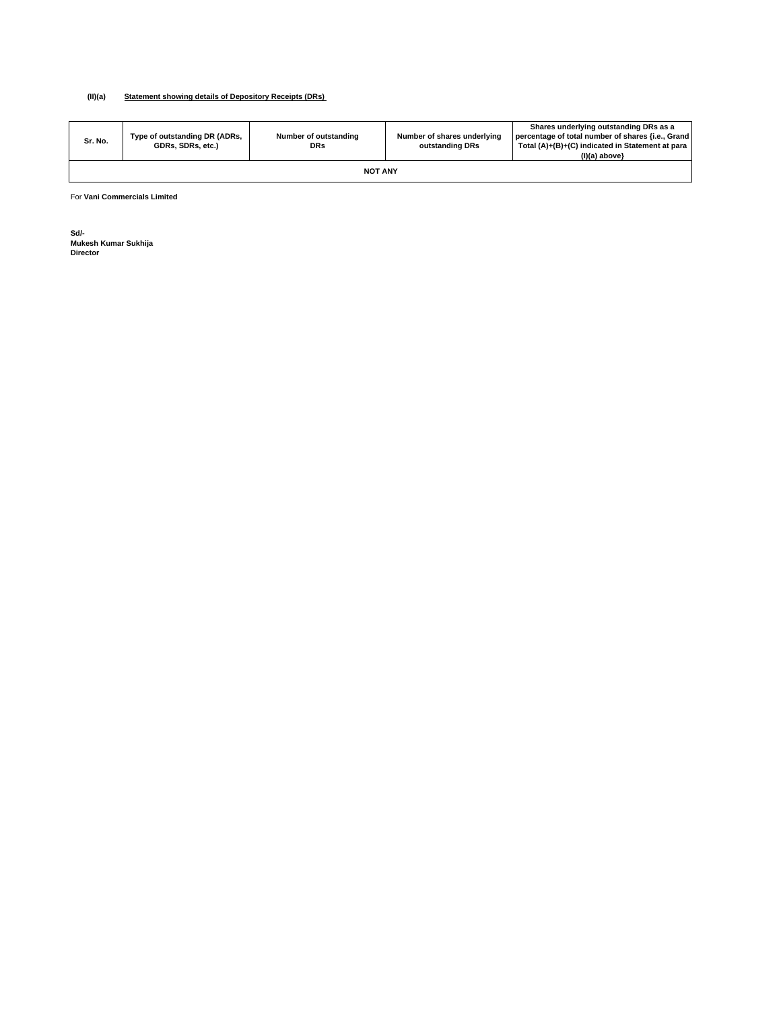#### **(II)(a) Statement showing details of Depository Receipts (DRs)**

| Sr. No. | Type of outstanding DR (ADRs,<br>GDRs, SDRs, etc.) | Number of outstanding<br><b>DRs</b> | Number of shares underlying<br>outstanding DRs | Shares underlying outstanding DRs as a<br>percentage of total number of shares {i.e., Grand<br>Total (A)+(B)+(C) indicated in Statement at para<br>$(I)(a)$ above} |  |  |  |  |  |
|---------|----------------------------------------------------|-------------------------------------|------------------------------------------------|--------------------------------------------------------------------------------------------------------------------------------------------------------------------|--|--|--|--|--|
|         | <b>NOT ANY</b>                                     |                                     |                                                |                                                                                                                                                                    |  |  |  |  |  |

For **Vani Commercials Limited**